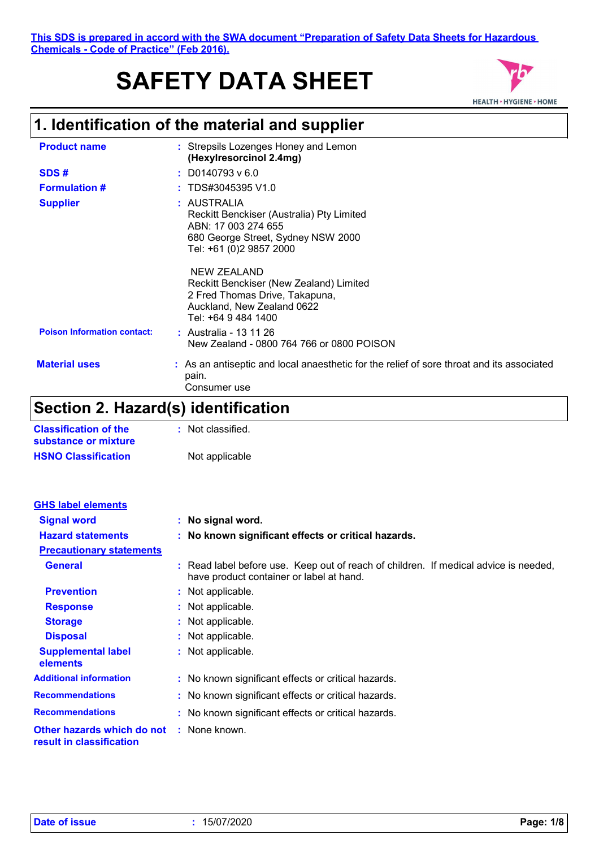# **SAFETY DATA SHEET**



## **1. Identification of the material and supplier**

| <b>Product name</b>                | : Strepsils Lozenges Honey and Lemon<br>(Hexylresorcinol 2.4mg)                                                                                  |  |
|------------------------------------|--------------------------------------------------------------------------------------------------------------------------------------------------|--|
| SDS#                               | $: $ D0140793 v 6.0                                                                                                                              |  |
| <b>Formulation #</b>               | TDS#3045395 V1.0                                                                                                                                 |  |
| <b>Supplier</b>                    | : AUSTRALIA<br>Reckitt Benckiser (Australia) Pty Limited<br>ABN: 17 003 274 655<br>680 George Street, Sydney NSW 2000<br>Tel: +61 (0)2 9857 2000 |  |
|                                    | NEW ZEALAND<br>Reckitt Benckiser (New Zealand) Limited<br>2 Fred Thomas Drive, Takapuna,<br>Auckland, New Zealand 0622<br>Tel: +64 9 484 1400    |  |
| <b>Poison Information contact:</b> | : Australia - 13 11 26<br>New Zealand - 0800 764 766 or 0800 POISON                                                                              |  |
| <b>Material uses</b>               | : As an antiseptic and local anaesthetic for the relief of sore throat and its associated<br>pain.<br>Consumer use                               |  |

### **Section 2. Hazard(s) identification**

| <b>Classification of the</b> | : Not classified. |
|------------------------------|-------------------|
| substance or mixture         |                   |
| <b>HSNO Classification</b>   | Not applicable    |

| <b>GHS label elements</b>                              |                                                                                                                                  |
|--------------------------------------------------------|----------------------------------------------------------------------------------------------------------------------------------|
| <b>Signal word</b>                                     | : No signal word.                                                                                                                |
| <b>Hazard statements</b>                               | : No known significant effects or critical hazards.                                                                              |
| <b>Precautionary statements</b>                        |                                                                                                                                  |
| <b>General</b>                                         | : Read label before use. Keep out of reach of children. If medical advice is needed,<br>have product container or label at hand. |
| <b>Prevention</b>                                      | : Not applicable.                                                                                                                |
| <b>Response</b>                                        | : Not applicable.                                                                                                                |
| <b>Storage</b>                                         | : Not applicable.                                                                                                                |
| <b>Disposal</b>                                        | : Not applicable.                                                                                                                |
| <b>Supplemental label</b><br>elements                  | : Not applicable.                                                                                                                |
| <b>Additional information</b>                          | : No known significant effects or critical hazards.                                                                              |
| <b>Recommendations</b>                                 | : No known significant effects or critical hazards.                                                                              |
| <b>Recommendations</b>                                 | : No known significant effects or critical hazards.                                                                              |
| Other hazards which do not<br>result in classification | : None known.                                                                                                                    |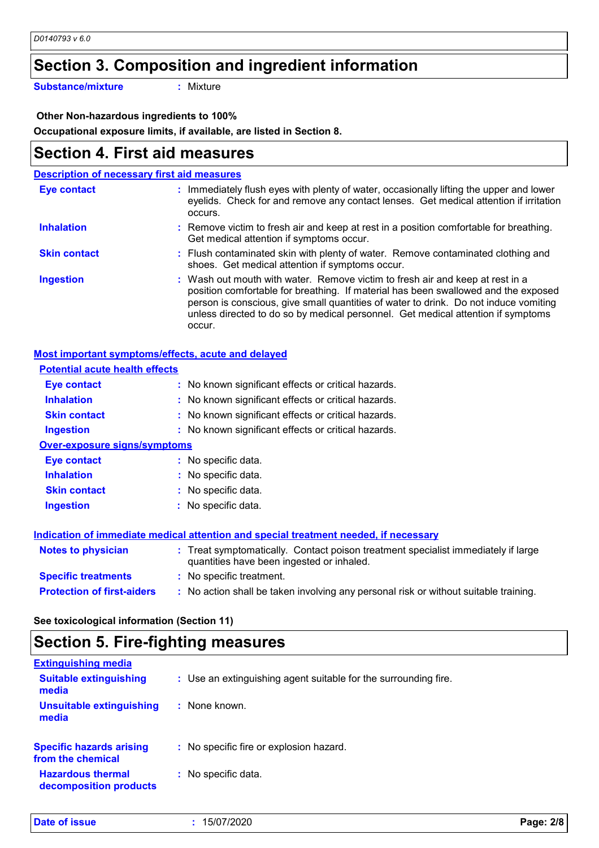### **Section 3. Composition and ingredient information**

**Substance/mixture :**

: Mixture

 **Other Non-hazardous ingredients to 100%**

**Occupational exposure limits, if available, are listed in Section 8.**

### **Section 4. First aid measures**

| <b>Description of necessary first aid measures</b> |                                                                                                                                                                                                                                                                                                                                                           |  |  |
|----------------------------------------------------|-----------------------------------------------------------------------------------------------------------------------------------------------------------------------------------------------------------------------------------------------------------------------------------------------------------------------------------------------------------|--|--|
| <b>Eye contact</b>                                 | : Immediately flush eyes with plenty of water, occasionally lifting the upper and lower<br>eyelids. Check for and remove any contact lenses. Get medical attention if irritation<br>occurs.                                                                                                                                                               |  |  |
| <b>Inhalation</b>                                  | : Remove victim to fresh air and keep at rest in a position comfortable for breathing.<br>Get medical attention if symptoms occur.                                                                                                                                                                                                                        |  |  |
| <b>Skin contact</b>                                | : Flush contaminated skin with plenty of water. Remove contaminated clothing and<br>shoes. Get medical attention if symptoms occur.                                                                                                                                                                                                                       |  |  |
| <b>Ingestion</b>                                   | : Wash out mouth with water. Remove victim to fresh air and keep at rest in a<br>position comfortable for breathing. If material has been swallowed and the exposed<br>person is conscious, give small quantities of water to drink. Do not induce vomiting<br>unless directed to do so by medical personnel. Get medical attention if symptoms<br>occur. |  |  |

#### **Most important symptoms/effects, acute and delayed**

| <b>Potential acute health effects</b> |                                                                                                                                |
|---------------------------------------|--------------------------------------------------------------------------------------------------------------------------------|
| Eye contact                           | : No known significant effects or critical hazards.                                                                            |
| <b>Inhalation</b>                     | : No known significant effects or critical hazards.                                                                            |
| <b>Skin contact</b>                   | : No known significant effects or critical hazards.                                                                            |
| <b>Ingestion</b>                      | : No known significant effects or critical hazards.                                                                            |
| <b>Over-exposure signs/symptoms</b>   |                                                                                                                                |
| Eye contact                           | : No specific data.                                                                                                            |
| <b>Inhalation</b>                     | : No specific data.                                                                                                            |
| <b>Skin contact</b>                   | : No specific data.                                                                                                            |
| <b>Ingestion</b>                      | : No specific data.                                                                                                            |
|                                       | Indication of immediate medical attention and special treatment needed, if necessary                                           |
| <b>Notes to physician</b>             | : Treat symptomatically. Contact poison treatment specialist immediately if large<br>quantities have been ingested or inhaled. |
| <b>Specific treatments</b>            | : No specific treatment.                                                                                                       |
| <b>Protection of first-aiders</b>     | : No action shall be taken involving any personal risk or without suitable training.                                           |

**See toxicological information (Section 11)**

### **Section 5. Fire-fighting measures**

| : Use an extinguishing agent suitable for the surrounding fire. |
|-----------------------------------------------------------------|
| : None known.                                                   |
| : No specific fire or explosion hazard.                         |
| : No specific data.                                             |
|                                                                 |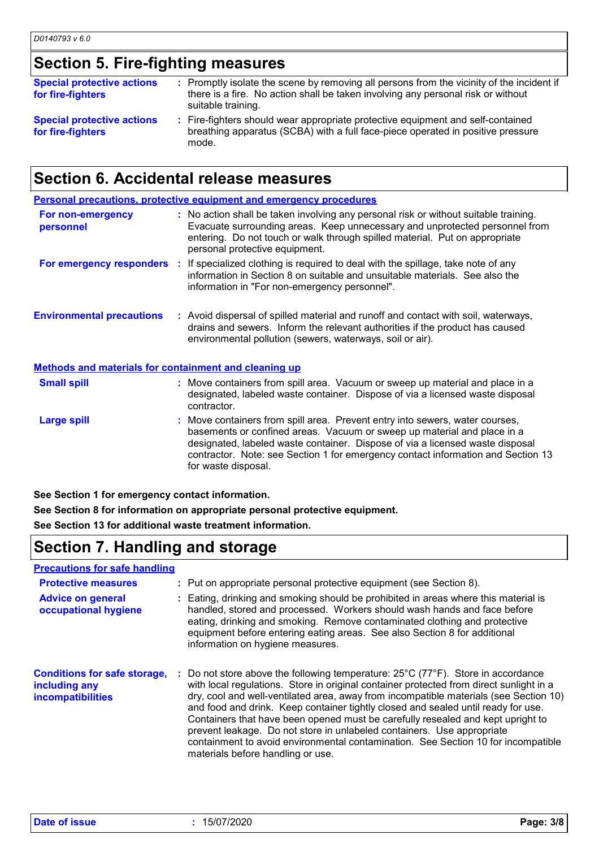### **Section 5. Fire-fighting measures**

| <b>Special protective actions</b><br>for fire-fighters | : Promptly isolate the scene by removing all persons from the vicinity of the incident if<br>there is a fire. No action shall be taken involving any personal risk or without<br>suitable training. |
|--------------------------------------------------------|-----------------------------------------------------------------------------------------------------------------------------------------------------------------------------------------------------|
| <b>Special protective actions</b><br>for fire-fighters | : Fire-fighters should wear appropriate protective equipment and self-contained<br>breathing apparatus (SCBA) with a full face-piece operated in positive pressure<br>mode.                         |

### **Section 6. Accidental release measures**

| <b>Personal precautions, protective equipment and emergency procedures</b> |  |                                                                                                                                                                                                                                                                                                                                                     |  |
|----------------------------------------------------------------------------|--|-----------------------------------------------------------------------------------------------------------------------------------------------------------------------------------------------------------------------------------------------------------------------------------------------------------------------------------------------------|--|
| For non-emergency<br>personnel                                             |  | : No action shall be taken involving any personal risk or without suitable training.<br>Evacuate surrounding areas. Keep unnecessary and unprotected personnel from<br>entering. Do not touch or walk through spilled material. Put on appropriate<br>personal protective equipment.                                                                |  |
|                                                                            |  | <b>For emergency responders</b> : If specialized clothing is required to deal with the spillage, take note of any<br>information in Section 8 on suitable and unsuitable materials. See also the<br>information in "For non-emergency personnel".                                                                                                   |  |
| <b>Environmental precautions</b>                                           |  | : Avoid dispersal of spilled material and runoff and contact with soil, waterways,<br>drains and sewers. Inform the relevant authorities if the product has caused<br>environmental pollution (sewers, waterways, soil or air).                                                                                                                     |  |
| <b>Methods and materials for containment and cleaning up</b>               |  |                                                                                                                                                                                                                                                                                                                                                     |  |
| <b>Small spill</b>                                                         |  | : Move containers from spill area. Vacuum or sweep up material and place in a<br>designated, labeled waste container. Dispose of via a licensed waste disposal<br>contractor.                                                                                                                                                                       |  |
| <b>Large spill</b>                                                         |  | : Move containers from spill area. Prevent entry into sewers, water courses,<br>basements or confined areas. Vacuum or sweep up material and place in a<br>designated, labeled waste container. Dispose of via a licensed waste disposal<br>contractor. Note: see Section 1 for emergency contact information and Section 13<br>for waste disposal. |  |

**See Section 1 for emergency contact information.**

**See Section 8 for information on appropriate personal protective equipment.**

**See Section 13 for additional waste treatment information.**

### **Section 7. Handling and storage**

| <b>Precautions for safe handling</b>                                             |                                                                                                                                                                                                                                                                                                                                                                                                                                                                                                                                                                                                                                                                       |
|----------------------------------------------------------------------------------|-----------------------------------------------------------------------------------------------------------------------------------------------------------------------------------------------------------------------------------------------------------------------------------------------------------------------------------------------------------------------------------------------------------------------------------------------------------------------------------------------------------------------------------------------------------------------------------------------------------------------------------------------------------------------|
| <b>Protective measures</b>                                                       | : Put on appropriate personal protective equipment (see Section 8).                                                                                                                                                                                                                                                                                                                                                                                                                                                                                                                                                                                                   |
| <b>Advice on general</b><br>occupational hygiene                                 | : Eating, drinking and smoking should be prohibited in areas where this material is<br>handled, stored and processed. Workers should wash hands and face before<br>eating, drinking and smoking. Remove contaminated clothing and protective<br>equipment before entering eating areas. See also Section 8 for additional<br>information on hygiene measures.                                                                                                                                                                                                                                                                                                         |
| <b>Conditions for safe storage,</b><br>including any<br><b>incompatibilities</b> | : Do not store above the following temperature: $25^{\circ}$ C (77 $^{\circ}$ F). Store in accordance<br>with local regulations. Store in original container protected from direct sunlight in a<br>dry, cool and well-ventilated area, away from incompatible materials (see Section 10)<br>and food and drink. Keep container tightly closed and sealed until ready for use.<br>Containers that have been opened must be carefully resealed and kept upright to<br>prevent leakage. Do not store in unlabeled containers. Use appropriate<br>containment to avoid environmental contamination. See Section 10 for incompatible<br>materials before handling or use. |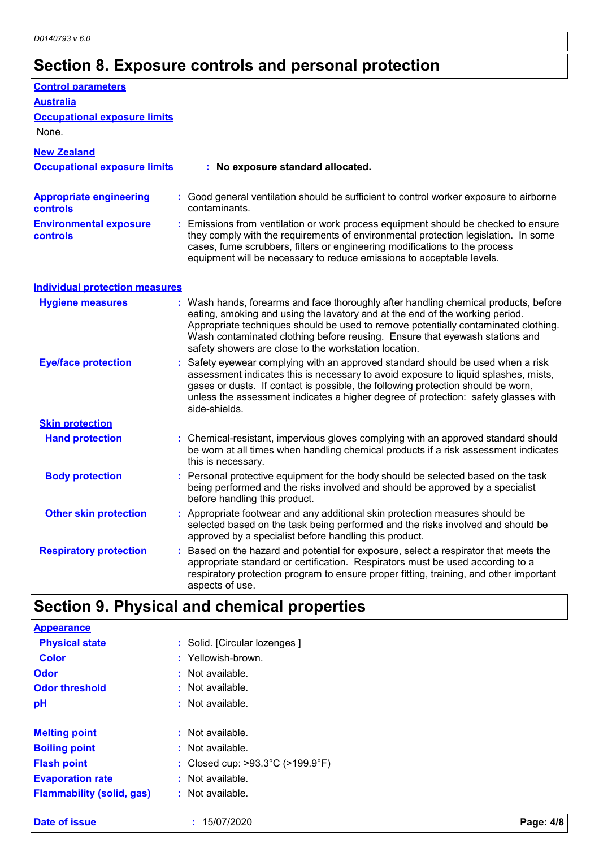# **Section 8. Exposure controls and personal protection**

| <b>Control parameters</b>                  |                                                                                                                                                                                                                                                                                                                                                                                                   |
|--------------------------------------------|---------------------------------------------------------------------------------------------------------------------------------------------------------------------------------------------------------------------------------------------------------------------------------------------------------------------------------------------------------------------------------------------------|
| <b>Australia</b>                           |                                                                                                                                                                                                                                                                                                                                                                                                   |
| <b>Occupational exposure limits</b>        |                                                                                                                                                                                                                                                                                                                                                                                                   |
| None.                                      |                                                                                                                                                                                                                                                                                                                                                                                                   |
| <b>New Zealand</b>                         |                                                                                                                                                                                                                                                                                                                                                                                                   |
| <b>Occupational exposure limits</b>        | : No exposure standard allocated.                                                                                                                                                                                                                                                                                                                                                                 |
| <b>Appropriate engineering</b><br>controls | : Good general ventilation should be sufficient to control worker exposure to airborne<br>contaminants.                                                                                                                                                                                                                                                                                           |
| <b>Environmental exposure</b><br>controls  | : Emissions from ventilation or work process equipment should be checked to ensure<br>they comply with the requirements of environmental protection legislation. In some<br>cases, fume scrubbers, filters or engineering modifications to the process<br>equipment will be necessary to reduce emissions to acceptable levels.                                                                   |
| <b>Individual protection measures</b>      |                                                                                                                                                                                                                                                                                                                                                                                                   |
| <b>Hygiene measures</b>                    | : Wash hands, forearms and face thoroughly after handling chemical products, before<br>eating, smoking and using the lavatory and at the end of the working period.<br>Appropriate techniques should be used to remove potentially contaminated clothing.<br>Wash contaminated clothing before reusing. Ensure that eyewash stations and<br>safety showers are close to the workstation location. |
| <b>Eye/face protection</b>                 | : Safety eyewear complying with an approved standard should be used when a risk<br>assessment indicates this is necessary to avoid exposure to liquid splashes, mists,<br>gases or dusts. If contact is possible, the following protection should be worn,<br>unless the assessment indicates a higher degree of protection: safety glasses with<br>side-shields.                                 |
| <b>Skin protection</b>                     |                                                                                                                                                                                                                                                                                                                                                                                                   |
| <b>Hand protection</b>                     | : Chemical-resistant, impervious gloves complying with an approved standard should<br>be worn at all times when handling chemical products if a risk assessment indicates<br>this is necessary.                                                                                                                                                                                                   |
| <b>Body protection</b>                     | : Personal protective equipment for the body should be selected based on the task<br>being performed and the risks involved and should be approved by a specialist<br>before handling this product.                                                                                                                                                                                               |
| <b>Other skin protection</b>               | : Appropriate footwear and any additional skin protection measures should be<br>selected based on the task being performed and the risks involved and should be<br>approved by a specialist before handling this product.                                                                                                                                                                         |
| <b>Respiratory protection</b>              | Based on the hazard and potential for exposure, select a respirator that meets the<br>appropriate standard or certification. Respirators must be used according to a<br>respiratory protection program to ensure proper fitting, training, and other important<br>aspects of use.                                                                                                                 |

### **Section 9. Physical and chemical properties**

| <b>Appearance</b>                |                                                       |
|----------------------------------|-------------------------------------------------------|
| <b>Physical state</b>            | : Solid. [Circular lozenges]                          |
| <b>Color</b>                     | : Yellowish-brown.                                    |
| Odor                             | : Not available.                                      |
| <b>Odor threshold</b>            | $:$ Not available.                                    |
| pH                               | $:$ Not available.                                    |
| <b>Melting point</b>             | : Not available.                                      |
| <b>Boiling point</b>             | $:$ Not available.                                    |
| <b>Flash point</b>               | : Closed cup: $>93.3^{\circ}$ C ( $>199.9^{\circ}$ F) |
| <b>Evaporation rate</b>          | : Not available.                                      |
| <b>Flammability (solid, gas)</b> | : Not available.                                      |
|                                  |                                                       |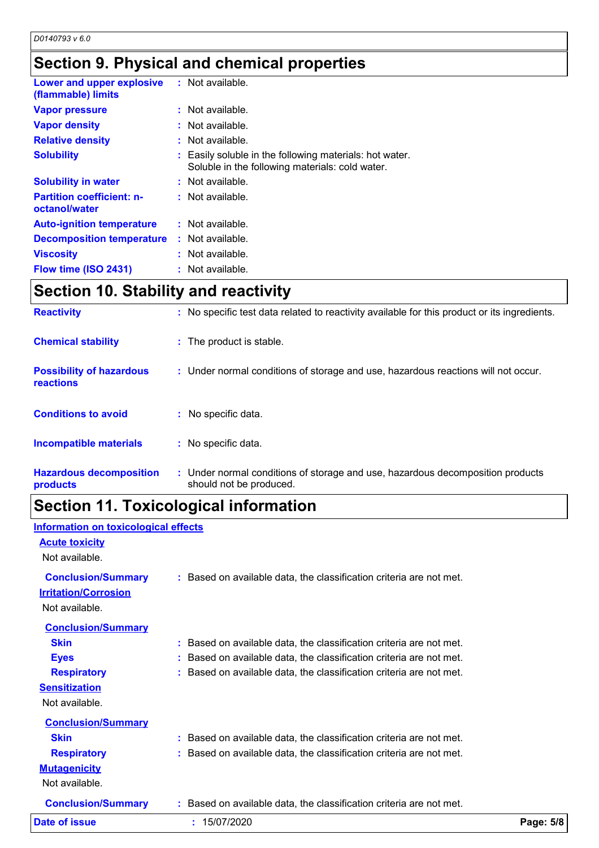### **Section 9. Physical and chemical properties**

| Lower and upper explosive<br>(flammable) limits   | : Not available.                                                                                           |
|---------------------------------------------------|------------------------------------------------------------------------------------------------------------|
| <b>Vapor pressure</b>                             | $:$ Not available.                                                                                         |
| <b>Vapor density</b>                              | $:$ Not available.                                                                                         |
| <b>Relative density</b>                           | $:$ Not available.                                                                                         |
| <b>Solubility</b>                                 | : Easily soluble in the following materials: hot water.<br>Soluble in the following materials: cold water. |
| <b>Solubility in water</b>                        | $:$ Not available.                                                                                         |
| <b>Partition coefficient: n-</b><br>octanol/water | $:$ Not available.                                                                                         |
| <b>Auto-ignition temperature</b>                  | : Not available.                                                                                           |
| <b>Decomposition temperature</b>                  | $:$ Not available.                                                                                         |
| <b>Viscosity</b>                                  | : Not available.                                                                                           |
| Flow time (ISO 2431)                              | : Not available.                                                                                           |

## **Section 10. Stability and reactivity**

| <b>Reactivity</b>                            | : No specific test data related to reactivity available for this product or its ingredients.              |
|----------------------------------------------|-----------------------------------------------------------------------------------------------------------|
| <b>Chemical stability</b>                    | : The product is stable.                                                                                  |
| <b>Possibility of hazardous</b><br>reactions | : Under normal conditions of storage and use, hazardous reactions will not occur.                         |
| <b>Conditions to avoid</b>                   | : No specific data.                                                                                       |
| <b>Incompatible materials</b>                | : No specific data.                                                                                       |
| <b>Hazardous decomposition</b><br>products   | : Under normal conditions of storage and use, hazardous decomposition products<br>should not be produced. |

## **Section 11. Toxicological information**

| Date of issue               | : 15/07/2020                                                        | Page: 5/8 |
|-----------------------------|---------------------------------------------------------------------|-----------|
| <b>Conclusion/Summary</b>   | : Based on available data, the classification criteria are not met. |           |
| Not available.              |                                                                     |           |
| <b>Mutagenicity</b>         |                                                                     |           |
| <b>Respiratory</b>          | Based on available data, the classification criteria are not met.   |           |
| <b>Skin</b>                 | : Based on available data, the classification criteria are not met. |           |
| <b>Conclusion/Summary</b>   |                                                                     |           |
| Not available.              |                                                                     |           |
| <b>Sensitization</b>        |                                                                     |           |
| <b>Respiratory</b>          | Based on available data, the classification criteria are not met.   |           |
| <b>Eyes</b>                 | Based on available data, the classification criteria are not met.   |           |
| <b>Skin</b>                 | Based on available data, the classification criteria are not met.   |           |
| <b>Conclusion/Summary</b>   |                                                                     |           |
| Not available.              |                                                                     |           |
| <b>Irritation/Corrosion</b> |                                                                     |           |
| <b>Conclusion/Summary</b>   | : Based on available data, the classification criteria are not met. |           |
| Not available.              |                                                                     |           |
| <b>Acute toxicity</b>       |                                                                     |           |
|                             |                                                                     |           |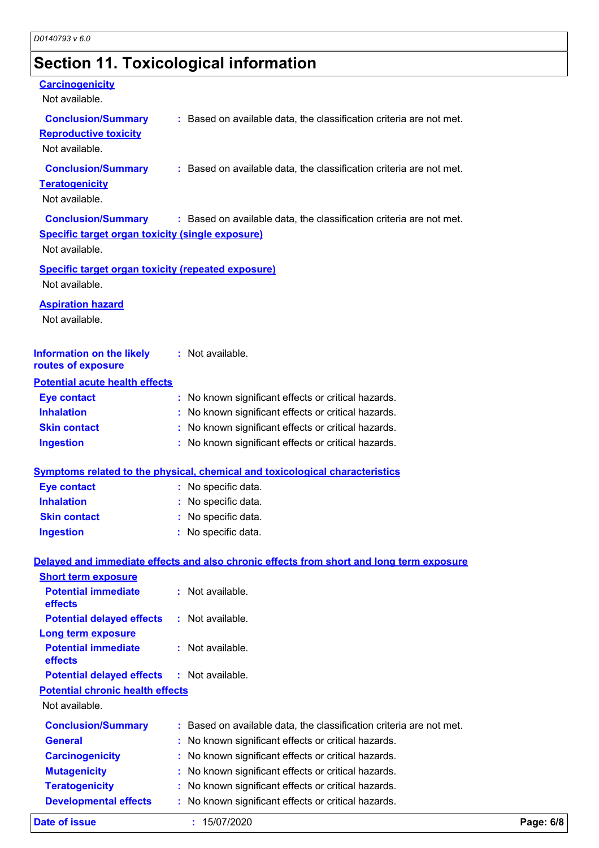# **Section 11. Toxicological information**

| <b>Carcinogenicity</b><br>Not available.                                    |                                                                                          |
|-----------------------------------------------------------------------------|------------------------------------------------------------------------------------------|
| <b>Conclusion/Summary</b><br><b>Reproductive toxicity</b><br>Not available. | : Based on available data, the classification criteria are not met.                      |
| <b>Conclusion/Summary</b><br><b>Teratogenicity</b><br>Not available.        | : Based on available data, the classification criteria are not met.                      |
| <b>Specific target organ toxicity (single exposure)</b><br>Not available.   | Conclusion/Summary : Based on available data, the classification criteria are not met.   |
| <b>Specific target organ toxicity (repeated exposure)</b><br>Not available. |                                                                                          |
| <b>Aspiration hazard</b><br>Not available.                                  |                                                                                          |
| <b>Information on the likely</b><br>routes of exposure                      | : Not available.                                                                         |
| <b>Potential acute health effects</b>                                       |                                                                                          |
| <b>Eye contact</b>                                                          | : No known significant effects or critical hazards.                                      |
| <b>Inhalation</b>                                                           | : No known significant effects or critical hazards.                                      |
| <b>Skin contact</b>                                                         | : No known significant effects or critical hazards.                                      |
| <b>Ingestion</b>                                                            | : No known significant effects or critical hazards.                                      |
|                                                                             | <b>Symptoms related to the physical, chemical and toxicological characteristics</b>      |
| <b>Eye contact</b>                                                          | : No specific data.                                                                      |
| <b>Inhalation</b>                                                           | : No specific data.                                                                      |
| <b>Skin contact</b>                                                         | : No specific data.                                                                      |
| <b>Ingestion</b>                                                            | : No specific data.                                                                      |
|                                                                             | Delayed and immediate effects and also chronic effects from short and long term exposure |
| <b>Short term exposure</b>                                                  |                                                                                          |
| <b>Potential immediate</b><br>effects                                       | : Not available.                                                                         |
| <b>Potential delayed effects</b>                                            | : Not available.                                                                         |
| <b>Long term exposure</b><br><b>Potential immediate</b><br>effects          | : Not available.                                                                         |
| <b>Potential delayed effects</b>                                            | $:$ Not available.                                                                       |
| <b>Potential chronic health effects</b>                                     |                                                                                          |
| Not available.                                                              |                                                                                          |
| <b>Conclusion/Summary</b>                                                   | : Based on available data, the classification criteria are not met.                      |
| General                                                                     | No known significant effects or critical hazards.                                        |
| <b>Carcinogenicity</b>                                                      | No known significant effects or critical hazards.                                        |
| <b>Mutagenicity</b>                                                         | No known significant effects or critical hazards.                                        |
| <b>Teratogenicity</b>                                                       | No known significant effects or critical hazards.                                        |
| <b>Developmental effects</b>                                                | No known significant effects or critical hazards.                                        |
|                                                                             |                                                                                          |

**Date of issue :** 15/07/2020 **Page: 6/8**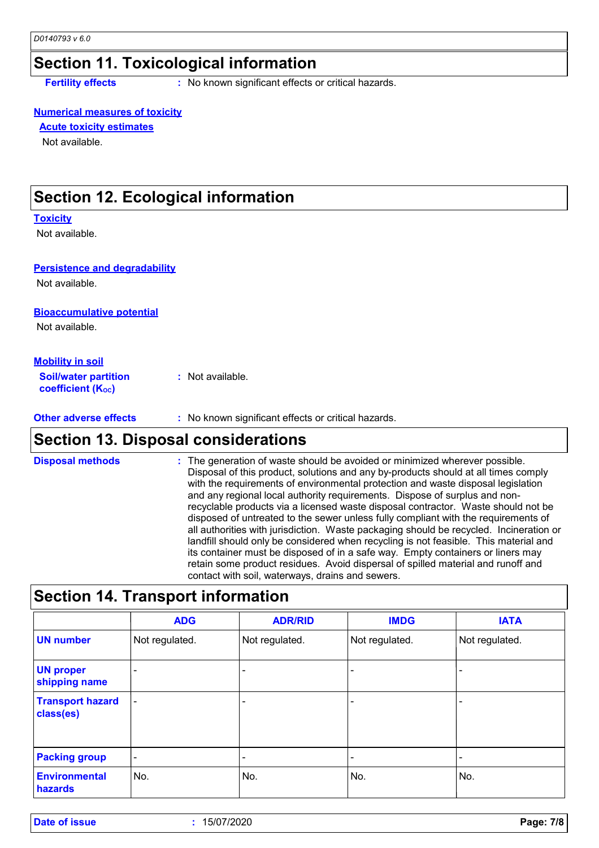### **Section 11. Toxicological information**

**Fertility effects** : No known significant effects or critical hazards.

#### **Numerical measures of toxicity**

#### **Acute toxicity estimates**

Not available.

### **Section 12. Ecological information**

#### **Toxicity**

Not available.

#### **Persistence and degradability**

Not available.

### **Bioaccumulative potential**

Not available.

#### **Mobility in soil**

**Soil/water partition coefficient (Koc) :** Not available.

#### **Other adverse effects** : No known significant effects or critical hazards.

### **Section 13. Disposal considerations**

The generation of waste should be avoided or minimized wherever possible. Disposal of this product, solutions and any by-products should at all times comply with the requirements of environmental protection and waste disposal legislation and any regional local authority requirements. Dispose of surplus and nonrecyclable products via a licensed waste disposal contractor. Waste should not be disposed of untreated to the sewer unless fully compliant with the requirements of all authorities with jurisdiction. Waste packaging should be recycled. Incineration or landfill should only be considered when recycling is not feasible. This material and its container must be disposed of in a safe way. Empty containers or liners may retain some product residues. Avoid dispersal of spilled material and runoff and contact with soil, waterways, drains and sewers. **Disposal methods :**

### **Section 14. Transport information**

|                                      | <b>ADG</b>               | <b>ADR/RID</b> | <b>IMDG</b>              | <b>IATA</b>    |
|--------------------------------------|--------------------------|----------------|--------------------------|----------------|
| <b>UN number</b>                     | Not regulated.           | Not regulated. | Not regulated.           | Not regulated. |
| <b>UN proper</b><br>shipping name    |                          |                |                          |                |
| <b>Transport hazard</b><br>class(es) | $\overline{\phantom{a}}$ |                | $\overline{\phantom{0}}$ |                |
| <b>Packing group</b>                 | $\blacksquare$           |                | $\overline{\phantom{0}}$ |                |
| <b>Environmental</b><br>hazards      | No.                      | No.            | No.                      | No.            |

**Date of issue :** 15/07/2020 **Page: 7/8**